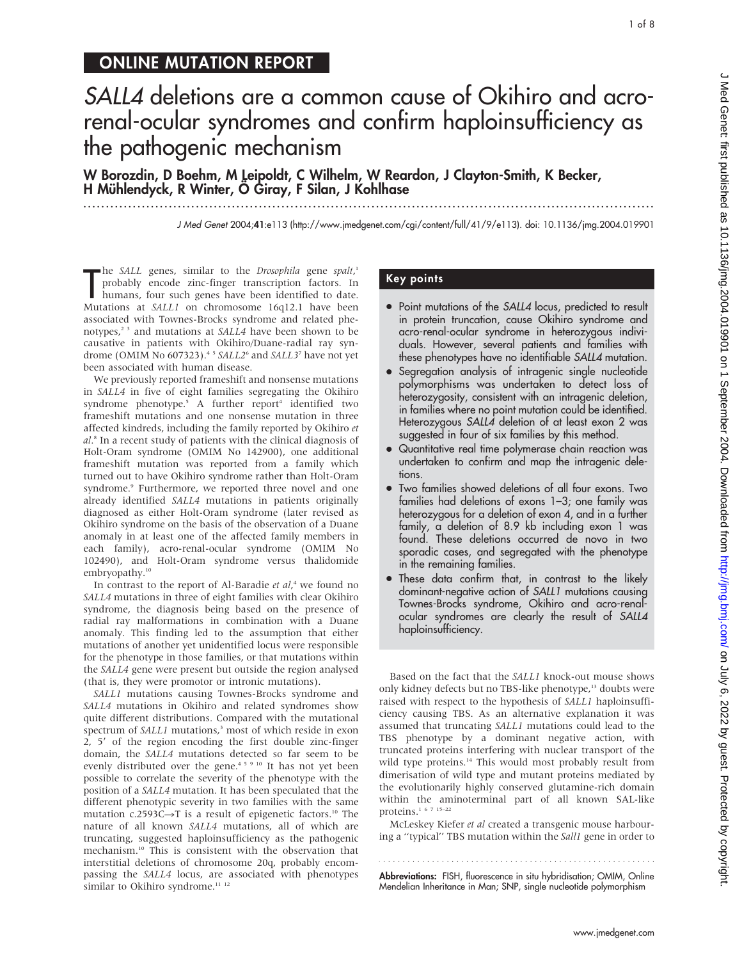## ONLINE MUTATION REPORT

# SALL4 deletions are a common cause of Okihiro and acrorenal-ocular syndromes and confirm haploinsufficiency as the pathogenic mechanism

...............................................................................................................................

W Borozdin, D Boehm, M Leipoldt, C Wilhelm, W Reardon, J Clayton-Smith, K Becker, H Mühlendyck, R Winter, Ö Giray, F Silan, J Kohlhase

J Med Genet 2004;41:e113 (http://www.jmedgenet.com/cgi/content/full/41/9/e113). doi: 10.1136/jmg.2004.019901

The SALL genes, similar to the *Drosophila* gene spall, probably encode zinc-finger transcription factors. In humans, four such genes have been identified to date.<br>Mutations at SALL1 on chromosome 16q12.1 have been he SALL genes, similar to the Drosophila gene spalt,<sup>1</sup> probably encode zinc-finger transcription factors. In humans, four such genes have been identified to date. associated with Townes-Brocks syndrome and related phenotypes,<sup>23</sup> and mutations at SALL4 have been shown to be causative in patients with Okihiro/Duane-radial ray syndrome (OMIM No 607323).<sup>45</sup> SALL2<sup>6</sup> and SALL3<sup>7</sup> have not yet been associated with human disease.

We previously reported frameshift and nonsense mutations in SALL4 in five of eight families segregating the Okihiro syndrome phenotype.<sup>5</sup> A further report<sup>4</sup> identified two frameshift mutations and one nonsense mutation in three affected kindreds, including the family reported by Okihiro et al. <sup>8</sup> In a recent study of patients with the clinical diagnosis of Holt-Oram syndrome (OMIM No 142900), one additional frameshift mutation was reported from a family which turned out to have Okihiro syndrome rather than Holt-Oram syndrome.<sup>9</sup> Furthermore, we reported three novel and one already identified SALL4 mutations in patients originally diagnosed as either Holt-Oram syndrome (later revised as Okihiro syndrome on the basis of the observation of a Duane anomaly in at least one of the affected family members in each family), acro-renal-ocular syndrome (OMIM No 102490), and Holt-Oram syndrome versus thalidomide embryopathy.<sup>10</sup>

In contrast to the report of Al-Baradie et al,<sup>4</sup> we found no SALL4 mutations in three of eight families with clear Okihiro syndrome, the diagnosis being based on the presence of radial ray malformations in combination with a Duane anomaly. This finding led to the assumption that either mutations of another yet unidentified locus were responsible for the phenotype in those families, or that mutations within the SALL4 gene were present but outside the region analysed (that is, they were promotor or intronic mutations).

SALL1 mutations causing Townes-Brocks syndrome and SALL4 mutations in Okihiro and related syndromes show quite different distributions. Compared with the mutational spectrum of SALL1 mutations,<sup>3</sup> most of which reside in exon  $2, 5'$  of the region encoding the first double zinc-finger domain, the SALL4 mutations detected so far seem to be evenly distributed over the gene.<sup>45910</sup> It has not yet been possible to correlate the severity of the phenotype with the position of a SALL4 mutation. It has been speculated that the different phenotypic severity in two families with the same mutation c.2593C $\rightarrow$ T is a result of epigenetic factors.<sup>10</sup> The nature of all known SALL4 mutations, all of which are truncating, suggested haploinsufficiency as the pathogenic mechanism.10 This is consistent with the observation that interstitial deletions of chromosome 20q, probably encompassing the SALL4 locus, are associated with phenotypes similar to Okihiro syndrome.<sup>11 12</sup>

## Key points

- Point mutations of the SALL4 locus, predicted to result in protein truncation, cause Okihiro syndrome and acro-renal-ocular syndrome in heterozygous individuals. However, several patients and families with these phenotypes have no identifiable SALL4 mutation.
- **•** Segregation analysis of intragenic single nucleotide polymorphisms was undertaken to detect loss of heterozygosity, consistent with an intragenic deletion, in families where no point mutation could be identified. Heterozygous SALL4 deletion of at least exon 2 was suggested in four of six families by this method.
- Quantitative real time polymerase chain reaction was undertaken to confirm and map the intragenic deletions.
- Two families showed deletions of all four exons. Two families had deletions of exons 1–3; one family was heterozygous for a deletion of exon 4, and in a further family, a deletion of 8.9 kb including exon 1 was found. These deletions occurred de novo in two sporadic cases, and segregated with the phenotype in the remaining families.
- These data confirm that, in contrast to the likely dominant-negative action of SALL1 mutations causing Townes-Brocks syndrome, Okihiro and acro-renalocular syndromes are clearly the result of SALL4 haploinsufficiency.

Based on the fact that the SALL1 knock-out mouse shows only kidney defects but no TBS-like phenotype,<sup>13</sup> doubts were raised with respect to the hypothesis of SALL1 haploinsufficiency causing TBS. As an alternative explanation it was assumed that truncating SALL1 mutations could lead to the TBS phenotype by a dominant negative action, with truncated proteins interfering with nuclear transport of the wild type proteins.<sup>14</sup> This would most probably result from dimerisation of wild type and mutant proteins mediated by the evolutionarily highly conserved glutamine-rich domain within the aminoterminal part of all known SAL-like proteins.1 6 7 15–22

McLeskey Kiefer et al created a transgenic mouse harbouring a ''typical'' TBS mutation within the Sall1 gene in order to

Abbreviations: FISH, fluorescence in situ hybridisation; OMIM, Online Mendelian Inheritance in Man; SNP, single nucleotide polymorphism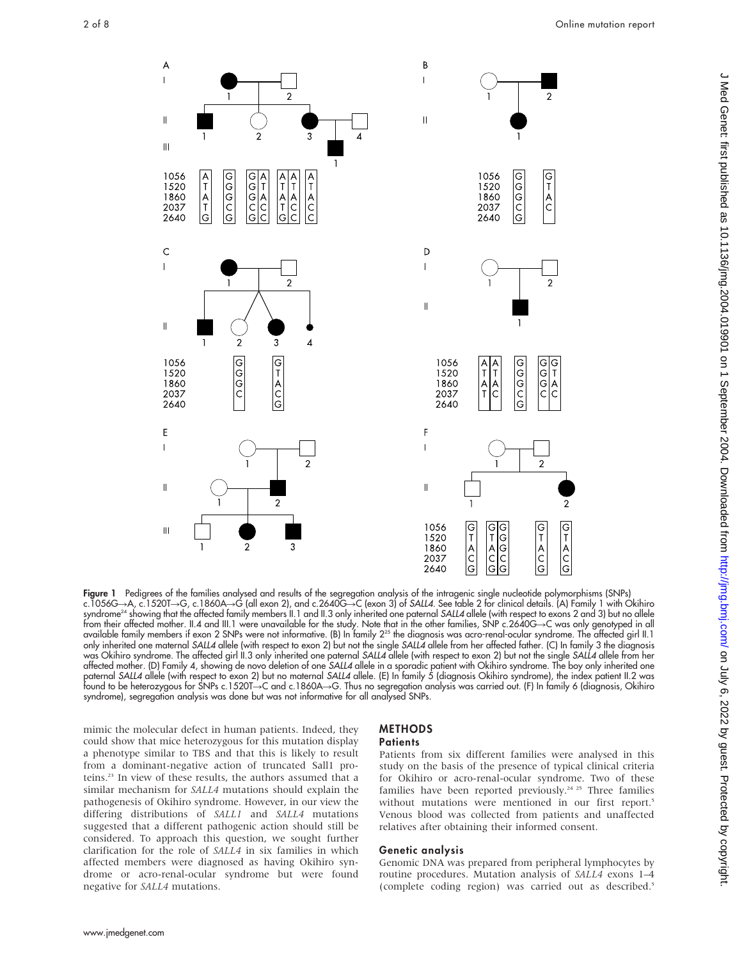

Figure 1 Pedigrees of the families analysed and results of the segregation analysis of the intragenic single nucleotide polymorphisms (SNPs) c.1056G→A, c.1520T→G, c.1860A→G (all exon 2), and c.2640G→C (exon 3) of SALL4. See table 2 for clinical details. (A) Family 1 with Okihiro syndrome<sup>24</sup> showing that the affected family members II.1 and II.3 only inherited one paternal SALL4 allele (with respect to exons 2 and 3) but no allele from their affected mother. II.4 and III.1 were unavailable for the study. Note that in the other families, SNP c.2640G->C was only genotyped in all available family members if exon 2 SNPs were not informative. (B) In family 2<sup>25</sup> the diagnosis was acro-renal-ocular syndrome. The affected girl II.1 only inherited one maternal SALL4 allele (with respect to exon 2) but not the single SALL4 allele from her affected father. (C) In family 3 the diagnosis was Okihiro syndrome. The affected girl II.3 only inherited one paternal SALL4 allele (with respect to exon 2) but not the single SALL4 allele from her affected mother. (D) Family 4, showing de novo deletion of one SALL4 allele in a sporadic patient with Okihiro syndrome. The boy only inherited one paternal SALL4 allele (with respect to exon 2) but no maternal SALL4 allele. (E) In family 5 (diagnosis Okihiro syndrome), the index patient II.2 was found to be heterozygous for SNPs c.1520T→C and c.1860A→G. Thus no segregation analysis was carried out. (F) In family 6 (diagnosis, Okihiro syndrome), segregation analysis was done but was not informative for all analysed SNPs.

mimic the molecular defect in human patients. Indeed, they could show that mice heterozygous for this mutation display a phenotype similar to TBS and that this is likely to result from a dominant-negative action of truncated Sall1 proteins.23 In view of these results, the authors assumed that a similar mechanism for SALL4 mutations should explain the pathogenesis of Okihiro syndrome. However, in our view the differing distributions of SALL1 and SALL4 mutations suggested that a different pathogenic action should still be considered. To approach this question, we sought further clarification for the role of SALL4 in six families in which affected members were diagnosed as having Okihiro syndrome or acro-renal-ocular syndrome but were found negative for SALL4 mutations.

#### METHODS **Patients**

## Patients from six different families were analysed in this study on the basis of the presence of typical clinical criteria

for Okihiro or acro-renal-ocular syndrome. Two of these families have been reported previously.<sup>24 25</sup> Three families without mutations were mentioned in our first report.<sup>5</sup> Venous blood was collected from patients and unaffected relatives after obtaining their informed consent.

## Genetic analysis

Genomic DNA was prepared from peripheral lymphocytes by routine procedures. Mutation analysis of SALL4 exons 1–4 (complete coding region) was carried out as described.<sup>5</sup>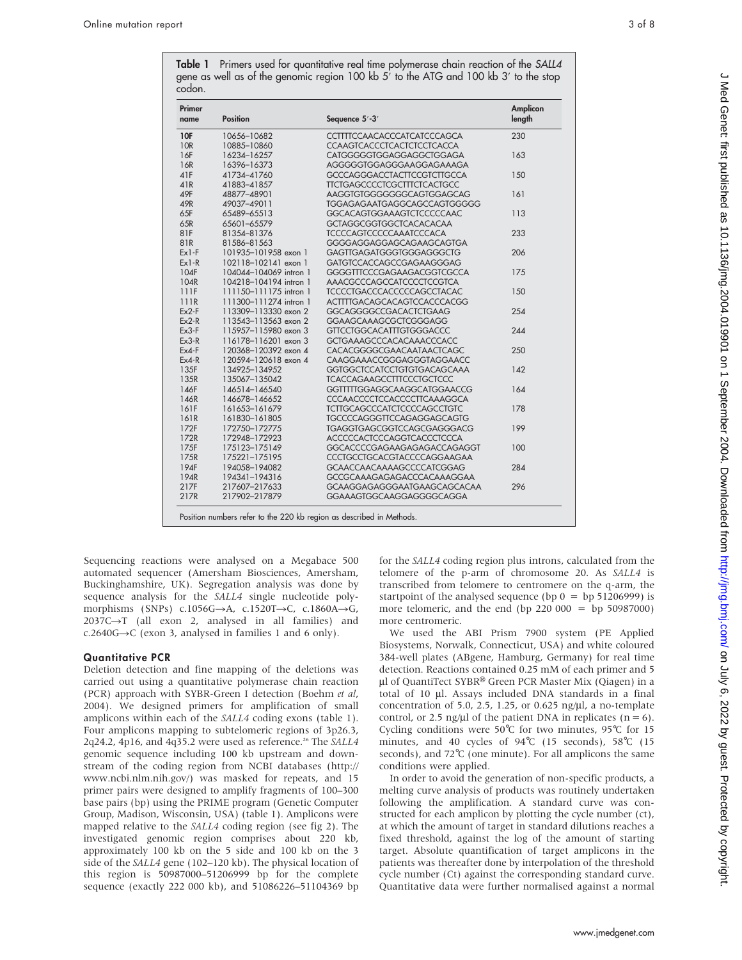| Primer<br>name  | Position               | Sequence 5'-3'                     | Amplicon<br>length |  |  |
|-----------------|------------------------|------------------------------------|--------------------|--|--|
| 10F             | 10656-10682            | CCTTTTCCAACACCCATCATCCCAGCA        | 230                |  |  |
| <b>10R</b>      | 10885-10860            | <b>CCAAGTCACCCTCACTCTCCTCACCA</b>  |                    |  |  |
| 16F             | 16234-16257            | <b>CATGGGGGTGGAGGAGGCTGGAGA</b>    | 163                |  |  |
| 16 <sub>R</sub> | 16396-16373            | AGGGGGTGGAGGGAAGGAGAAAGA           |                    |  |  |
| 41F             | 41734-41760            | GCCCAGGGACCTACTTCCGTCTTGCCA        | 150                |  |  |
| 41R             | 41883-41857            | <b>TICTGAGCCCCTCGCTTTCTCACTGCC</b> |                    |  |  |
| 49F             | 48877-48901            | AAGGTGTGGGGGGCAGTGGAGCAG           | 161                |  |  |
| 49R             | 49037-49011            | <b>TGGAGAGAATGAGGCAGCCAGTGGGGG</b> |                    |  |  |
| 65F             | 65489-65513            | GGCACAGTGGAAAGTCTCCCCCAAC          | 113                |  |  |
| 65R             | 65601-65579            | <b>GCTAGGCGGTGGCTCACACACAA</b>     |                    |  |  |
| 81F             | 81354-81376            | <b>TCCCCAGTCCCCCCAAATCCCACA</b>    | 233                |  |  |
| 81R             | 81586-81563            | GGGGAGGAGGAGCAGAAGCAGTGA           |                    |  |  |
| $Ex1-F$         | 101935-101958 exon 1   | <b>GAGTTGAGATGGGTGGGAGGGCTG</b>    | 206                |  |  |
| $Ex1-R$         | 102118-102141 exon 1   | GATGTCCACCAGCCGAGAAGGGAG           |                    |  |  |
| 104F            | 104044-104069 intron 1 | GGGGTTTCCCGAGAAGACGGTCGCCA         | 175                |  |  |
| 104R            | 104218-104194 intron 1 | AAACGCCCAGCCATCCCCTCCGTCA          |                    |  |  |
| 111F            | 111150-111175 intron 1 | <b>TCCCCTGACCCACCCCCAGCCTACAC</b>  | 150                |  |  |
| 111R            | 111300-111274 intron 1 | ACTTTTGACAGCACAGTCCACCCACGG        |                    |  |  |
| $Ex2-F$         | 113309-113330 exon 2   | GGCAGGGGCCGACACTCTGAAG             | 254                |  |  |
| $Ex2-R$         | 113543-113563 exon 2   | GGAAGCAAAGCGCTCGGGAGG              |                    |  |  |
| $Ex3-F$         | 115957-115980 exon 3   | GTTCCTGGCACATTTGTGGGACCC           | 244                |  |  |
| $Ex3-R$         | 116178-116201 exon 3   | <b>GCTGAAAGCCCACACAAACCCACC</b>    |                    |  |  |
| $Ex4-F$         | 120368-120392 exon 4   | CACACGGGGCGAACAATAACTCAGC          | 250                |  |  |
| $Ex4-R$         | 120594-120618 exon 4   | CAAGGAAACCGGGAGGGTAGGAACC          |                    |  |  |
| 135F            | 134925-134952          | GGTGGCTCCATCCTGTGTGACAGCAAA        | 142                |  |  |
| 135R            | 135067-135042          | <b>TCACCAGAAGCCTTTCCCTGCTCCC</b>   |                    |  |  |
| 146F            | 146514-146540          | GGTTTTTGGAGGCAAGGCATGGAACCG        | 164                |  |  |
| 146R            | 146678-146652          | CCCAACCCCTCCACCCCTTCAAAGGCA        |                    |  |  |
| 161F            | 161653-161679          | <b>TCTTGCAGCCCATCTCCCCAGCCTGTC</b> | 178                |  |  |
| 161R            | 161830-161805          | <b>TGCCCCAGGGTTCCAGAGGAGCAGTG</b>  |                    |  |  |
| 172F            | 172750-172775          | TGAGGTGAGCGGTCCAGCGAGGGACG         | 199                |  |  |
| 172R            | 172948-172923          | ACCCCCACTCCCAGGTCACCCTCCCA         |                    |  |  |
| 175F            | 175123-175149          | GGCACCCCGAGAAGAGAGACCAGAGGT        | 100                |  |  |
| 175R            | 175221-175195          | CCCTGCCTGCACGTACCCCAGGAAGAA        |                    |  |  |
| 194F            | 194058-194082          | GCAACCAACAAAAGCCCCATCGGAG          | 284                |  |  |
| 194R            | 194341-194316          | GCCGCAAAGAGAGACCCACAAAGGAA         |                    |  |  |
| 217F            | 217607-217633          | GCAAGGAGAGGGAATGAAGCAGCACAA        | 296                |  |  |
| 217R            | 217902-217879          | GGAAAGTGGCAAGGAGGGCAGGA            |                    |  |  |

**Table 1** Primers used for quantitative real time polymerase chain reaction of the SALL4

Sequencing reactions were analysed on a Megabace 500 automated sequencer (Amersham Biosciences, Amersham, Buckinghamshire, UK). Segregation analysis was done by sequence analysis for the SALL4 single nucleotide polymorphisms (SNPs) c.1056G $\rightarrow$ A, c.1520T $\rightarrow$ C, c.1860A $\rightarrow$ G,  $2037C \rightarrow T$  (all exon 2, analysed in all families) and  $c.2640G \rightarrow C$  (exon 3, analysed in families 1 and 6 only).

## Quantitative PCR

Deletion detection and fine mapping of the deletions was carried out using a quantitative polymerase chain reaction (PCR) approach with SYBR-Green I detection (Boehm et al, 2004). We designed primers for amplification of small amplicons within each of the SALL4 coding exons (table 1). Four amplicons mapping to subtelomeric regions of 3p26.3, 2q24.2, 4p16, and 4q35.2 were used as reference.<sup>26</sup> The SALL4 genomic sequence including 100 kb upstream and downstream of the coding region from NCBI databases (http:// www.ncbi.nlm.nih.gov/) was masked for repeats, and 15 primer pairs were designed to amplify fragments of 100–300 base pairs (bp) using the PRIME program (Genetic Computer Group, Madison, Wisconsin, USA) (table 1). Amplicons were mapped relative to the SALL4 coding region (see fig 2). The investigated genomic region comprises about 220 kb, approximately 100 kb on the 5 side and 100 kb on the 3 side of the SALL4 gene (102–120 kb). The physical location of this region is 50987000–51206999 bp for the complete sequence (exactly 222 000 kb), and 51086226–51104369 bp for the SALL4 coding region plus introns, calculated from the telomere of the p-arm of chromosome 20. As SALL4 is transcribed from telomere to centromere on the q-arm, the startpoint of the analysed sequence (bp  $0 =$  bp 51206999) is more telomeric, and the end (bp 220 000 = bp 50987000) more centromeric.

We used the ABI Prism 7900 system (PE Applied Biosystems, Norwalk, Connecticut, USA) and white coloured 384-well plates (ABgene, Hamburg, Germany) for real time detection. Reactions contained 0.25 mM of each primer and 5 µl of QuantiTect SYBR® Green PCR Master Mix (Qiagen) in a total of 10 µl. Assays included DNA standards in a final concentration of 5.0, 2.5, 1.25, or 0.625 ng/ $\mu$ l, a no-template control, or 2.5 ng/ $\mu$ l of the patient DNA in replicates (n = 6). Cycling conditions were  $50^{\circ}$ C for two minutes,  $95^{\circ}$ C for 15 minutes, and 40 cycles of  $94^{\circ}C$  (15 seconds),  $58^{\circ}C$  (15 seconds), and 72℃ (one minute). For all amplicons the same conditions were applied.

In order to avoid the generation of non-specific products, a melting curve analysis of products was routinely undertaken following the amplification. A standard curve was constructed for each amplicon by plotting the cycle number (ct), at which the amount of target in standard dilutions reaches a fixed threshold, against the log of the amount of starting target. Absolute quantification of target amplicons in the patients was thereafter done by interpolation of the threshold cycle number (Ct) against the corresponding standard curve. Quantitative data were further normalised against a normal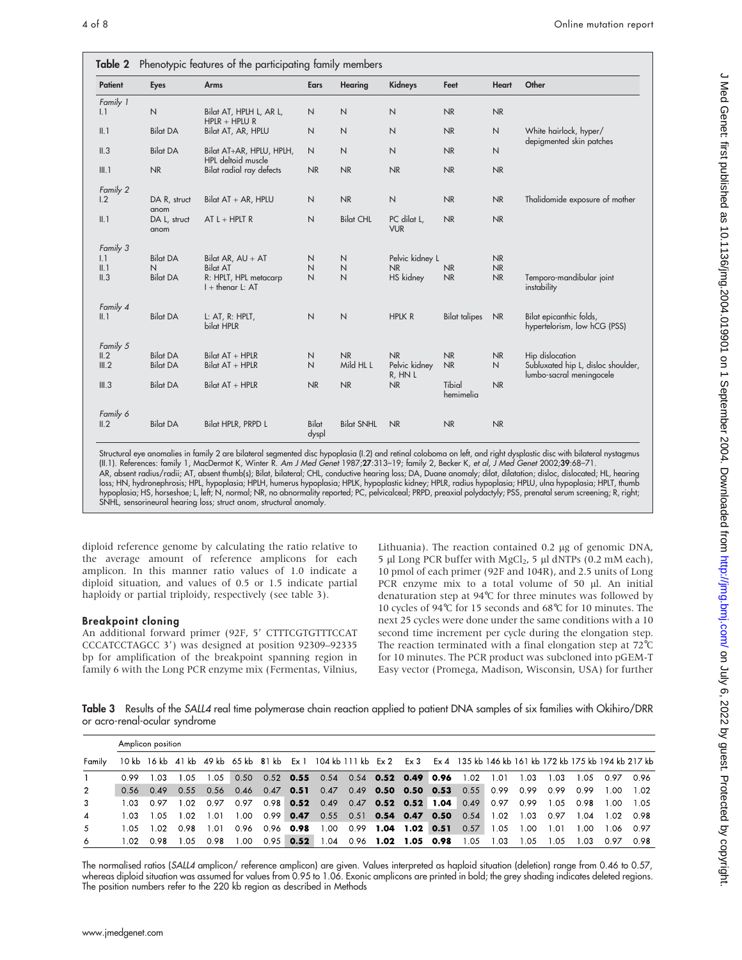| Patient     | <b>Eyes</b>          | Arms                                           | <b>Ears</b>       | Hearing           | <b>Kidneys</b>               | Feet                       | <b>Heart</b>           | Other                                                          |
|-------------|----------------------|------------------------------------------------|-------------------|-------------------|------------------------------|----------------------------|------------------------|----------------------------------------------------------------|
| Family 1    |                      |                                                |                   |                   |                              |                            |                        |                                                                |
| 1.1         | $\mathsf N$          | Bilat AT, HPLH L, AR L,<br>$HPLR + HPLU R$     | $\mathsf{N}$      | $\overline{N}$    | N                            | <b>NR</b>                  | <b>NR</b>              |                                                                |
| II.1        | <b>Bilat DA</b>      | Bilat AT, AR, HPLU                             | $\mathsf{N}$      | $\overline{N}$    | $\mathsf{N}$                 | <b>NR</b>                  | $\overline{N}$         | White hairlock, hyper/<br>depigmented skin patches             |
| II.3        | <b>Bilat DA</b>      | Bilat AT+AR, HPLU, HPLH,<br>HPL deltoid muscle | $\mathsf{N}$      | $\mathsf{N}$      | $\mathsf{N}$                 | <b>NR</b>                  | $\overline{N}$         |                                                                |
| III.1       | NR                   | Bilat radial ray defects                       | NR                | NR                | <b>NR</b>                    | <b>NR</b>                  | NR                     |                                                                |
| Family 2    |                      |                                                |                   |                   |                              |                            |                        |                                                                |
| 1.2         | DA R, struct<br>anom | Bilat $AT + AR$ , HPLU                         | $\mathsf{N}$      | NR                | $\mathsf{N}$                 | NR                         | <b>NR</b>              | Thalidomide exposure of mother                                 |
| II.1        | DA L, struct<br>anom | $AT L + HPLT R$                                | $\mathsf{N}$      | <b>Bilat CHL</b>  | PC dilat L,<br><b>VUR</b>    | <b>NR</b>                  | <b>NR</b>              |                                                                |
| Family 3    |                      |                                                |                   |                   |                              |                            |                        |                                                                |
| 1.1<br>II.1 | <b>Bilat DA</b><br>N | Bilat AR, $AU + AT$<br><b>Bilat AT</b>         | N<br>$\mathsf{N}$ | N<br>$\mathsf{N}$ | Pelvic kidney L<br><b>NR</b> | <b>NR</b>                  | <b>NR</b><br><b>NR</b> |                                                                |
| II.3        | <b>Bilat DA</b>      | R: HPLT, HPL metacarp<br>$I +$ thenar L: AT    | $\overline{N}$    | $\overline{N}$    | HS kidney                    | <b>NR</b>                  | <b>NR</b>              | Temporo-mandibular joint<br>instability                        |
| Family 4    |                      |                                                |                   |                   |                              |                            |                        |                                                                |
| II.1        | <b>Bilat DA</b>      | L: AT, R: HPLT,<br>bilat HPLR                  | $\mathsf{N}$      | $\mathsf{N}$      | <b>HPLKR</b>                 | <b>Bilat talipes</b>       | <b>NR</b>              | Bilat epicanthic folds,<br>hypertelorism, low hCG (PSS)        |
| Family 5    |                      |                                                |                   |                   |                              |                            |                        |                                                                |
| II.2        | <b>Bilat DA</b>      | Bilat $AT + HPLR$                              | $\mathsf{N}$      | NR                | <b>NR</b>                    | <b>NR</b>                  | <b>NR</b>              | Hip dislocation                                                |
| III.2       | <b>Bilat DA</b>      | Bilat AT + HPLR                                | $\mathsf{N}$      | Mild HL L         | Pelvic kidney<br>R, HN L     | <b>NR</b>                  | N                      | Subluxated hip L, disloc shoulder,<br>lumbo-sacral meningocele |
| III.3       | <b>Bilat DA</b>      | Bilat $AT + HPLR$                              | <b>NR</b>         | NR                | <b>NR</b>                    | <b>Tibial</b><br>hemimelia | <b>NR</b>              |                                                                |
| Family 6    |                      |                                                |                   |                   |                              |                            |                        |                                                                |
| II.2        | <b>Bilat DA</b>      | Bilat HPLR, PRPD L                             | Bilat<br>dyspl    | <b>Bilat SNHL</b> | <b>NR</b>                    | <b>NR</b>                  | <b>NR</b>              |                                                                |

Structural eye anomalies in family 2 are bilateral segmented disc hypoplasia (I.2) and retinal coloboma on left, and right dysplastic disc with bilateral nystagmus (II.1). References: family 1, MacDermot K, Winter R. Am J Med Genet 1987;27:313–19; family 2, Becker K, et al, J Med Genet 2002;39:68–71. AR, absent radius/radii; AT, absent thumb(s); Bilat, bilateral; CHL, conductive hearing loss; DA, Duane anomaly; dilat, dilatation; disloc, dislocated; HL, hearing loss; HN, hydronephrosis; HPL, hypoplasia; HPLH, humerus hypoplasia; HPLK, hypoplastic kidney; HPLR, radius hypoplasia; HPLU, ulna hypoplasia; HPLT, thumb hypoplasia; HS, horseshoe; L, left; N, normal; NR, no abnormality reported; PC, pelvicalceal; PRPD, preaxial polydactyly; PSS, prenatal serum screening; R, right; SNHL, sensorineural hearing loss; struct anom, structural anomaly.

diploid reference genome by calculating the ratio relative to the average amount of reference amplicons for each amplicon. In this manner ratio values of 1.0 indicate a diploid situation, and values of 0.5 or 1.5 indicate partial haploidy or partial triploidy, respectively (see table 3).

## Breakpoint cloning

An additional forward primer (92F, 5' CTTTCGTGTTTCCAT CCCATCCTAGCC 3') was designed at position 92309-92335 bp for amplification of the breakpoint spanning region in family 6 with the Long PCR enzyme mix (Fermentas, Vilnius, Lithuania). The reaction contained 0.2 µg of genomic DNA, 5 µl Long PCR buffer with MgCl<sub>2</sub>, 5 µl dNTPs (0.2 mM each), 10 pmol of each primer (92F and 104R), and 2.5 units of Long PCR enzyme mix to a total volume of 50 µl. An initial denaturation step at 94˚C for three minutes was followed by 10 cycles of 94˚C for 15 seconds and 68˚C for 10 minutes. The next 25 cycles were done under the same conditions with a 10 second time increment per cycle during the elongation step. The reaction terminated with a final elongation step at 72˚C for 10 minutes. The PCR product was subcloned into pGEM-T Easy vector (Promega, Madison, Wisconsin, USA) for further

Table 3 Results of the SALL4 real time polymerase chain reaction applied to patient DNA samples of six families with Okihiro/DRR or acro-renal-ocular syndrome

|                | Amplicon position |                    |                  |       |      |                  |  |      |                                                                    |  |  |  |                                                                                                                        |      |      |        |                  |           |           |
|----------------|-------------------|--------------------|------------------|-------|------|------------------|--|------|--------------------------------------------------------------------|--|--|--|------------------------------------------------------------------------------------------------------------------------|------|------|--------|------------------|-----------|-----------|
| Family         |                   |                    |                  |       |      |                  |  |      |                                                                    |  |  |  | 10 kb 16 kb 41 kb 49 kb 65 kb 81 kb Ex 1 104 kb 111 kb Ex 2 Ex 3 Ex 4 135 kb 146 kb 161 kb 172 kb 175 kb 194 kb 217 kb |      |      |        |                  |           |           |
|                | O 99              | 1.03               | 1.05             | .05   |      |                  |  |      | $0.50$ $0.52$ <b>0.55</b> $0.54$ $0.54$ <b>0.52 0.49 0.96</b> 1.02 |  |  |  |                                                                                                                        | 1.01 | 1.03 | 1.03   | 1.05             | 0.97 0.96 |           |
| $\mathcal{P}$  | 0.56              | 0.49               | 0.55             |       |      |                  |  |      |                                                                    |  |  |  | $0.56$ 0.46 0.47 0.51 0.47 0.49 0.50 0.50 0.53 0.55 0.99                                                               |      | 0.99 | 0.99   | 0.99             | 1.00      | $-1.02$   |
| 3              |                   | $1.03 \qquad 0.97$ | 1 O <sub>2</sub> | 0.97  |      |                  |  |      | $0.97$ $0.98$ 0.52 $0.49$ 0.47 0.52 0.52 1.04                      |  |  |  | 0.49                                                                                                                   | 0.97 | 0.99 | 1.05   | 0.98             | 1.00      | $-1.05$   |
| $\overline{4}$ | LO3.              | 1.05               | 1 O <sub>2</sub> | LO 1. |      |                  |  |      |                                                                    |  |  |  | 1.00  0.99  0.47  0.55  0.51  0.54  0.47  0.50  0.54                                                                   | 1.02 | 1.03 | 0.97   | 104              | 1.02 0.98 |           |
| 5              | O.5               | 1 O <sub>2</sub>   | 0.98             | ∣ ∩1  |      | $0.96$ 0.96 0.98 |  | 1.00 |                                                                    |  |  |  | $0.99$ 1.04 1.02 0.51 0.57                                                                                             | 1.05 | 1.00 | 1.01   | .00 <sub>1</sub> |           | 1.06 0.97 |
| 6              | റാ                | O 98               | 1.05             | O 98  | 1.00 | $0.95$ 0.52      |  | 1.04 | 0.96 1.02 1.05 0.98                                                |  |  |  | 1.05                                                                                                                   | 1.03 | 1.05 | - 1.05 | 1 O.3            | 0.97 0.98 |           |

The normalised ratios (SALL4 amplicon/ reference amplicon) are given. Values interpreted as haploid situation (deletion) range from 0.46 to 0.57, whereas diploid situation was assumed for values from 0.95 to 1.06. Exonic amplicons are printed in bold; the grey shading indicates deleted regions. The position numbers refer to the 220 kb region as described in Methods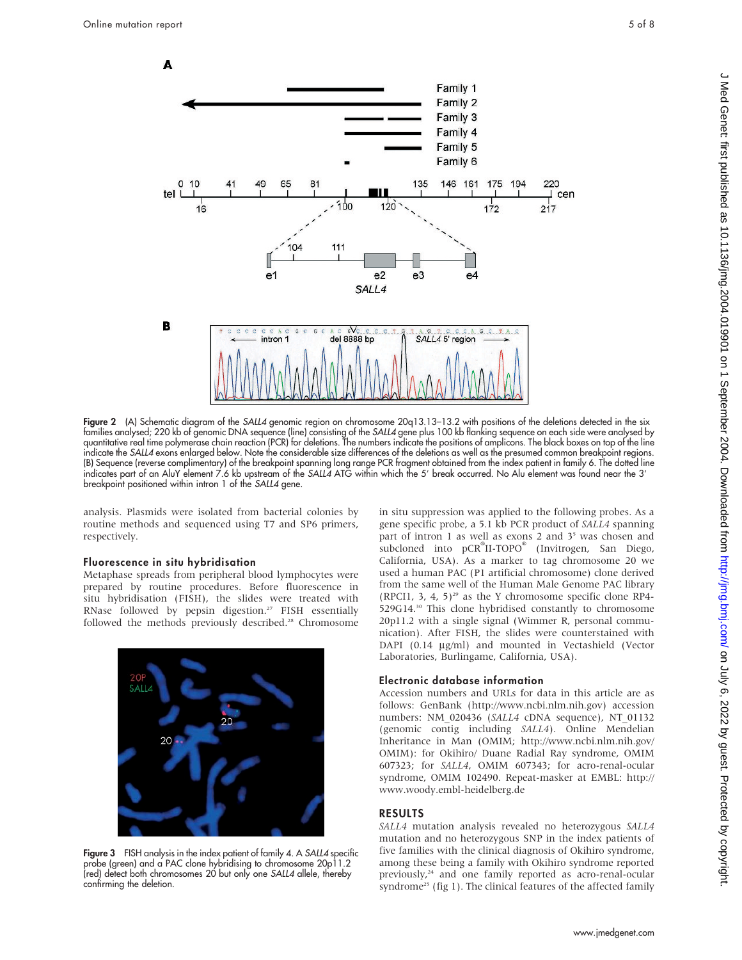

Figure 2 (A) Schematic diagram of the SALL4 genomic region on chromosome 20q13.13–13.2 with positions of the deletions detected in the six families analysed; 220 kb of genomic DNA sequence (line) consisting of the SALL4 gene plus 100 kb flanking sequence on each side were analysed by quantitative real time polymerase chain reaction (PCR) for deletions. The numbers indicate the positions of amplicons. The black boxes on top of the line indicate the SALL4 exons enlarged below. Note the considerable size differences of the deletions as well as the presumed common breakpoint regions. (B) Sequence (reverse complimentary) of the breakpoint spanning long range PCR fragment obtained from the index patient in family 6. The dotted line indicates part of an AluY element 7.6 kb upstream of the SALL4 ATG within which the 5' break occurred. No Alu element was found near the 3' breakpoint positioned within intron 1 of the SALL4 gene.

analysis. Plasmids were isolated from bacterial colonies by routine methods and sequenced using T7 and SP6 primers, respectively.

#### Fluorescence in situ hybridisation

Metaphase spreads from peripheral blood lymphocytes were prepared by routine procedures. Before fluorescence in situ hybridisation (FISH), the slides were treated with RNase followed by pepsin digestion.<sup>27</sup> FISH essentially followed the methods previously described.<sup>28</sup> Chromosome



Figure 3 FISH analysis in the index patient of family 4. A SALL4 specific probe (green) and a PAC clone hybridising to chromosome 20p11.2 (red) detect both chromosomes 20 but only one SALL4 allele, thereby confirming the deletion.

in situ suppression was applied to the following probes. As a gene specific probe, a 5.1 kb PCR product of SALL4 spanning part of intron 1 as well as exons 2 and  $3<sup>5</sup>$  was chosen and subcloned into pCR<sup>®</sup>II-TOPO<sup>®</sup> (Invitrogen, San Diego, California, USA). As a marker to tag chromosome 20 we used a human PAC (P1 artificial chromosome) clone derived from the same well of the Human Male Genome PAC library (RPCI1, 3, 4, 5)<sup>29</sup> as the Y chromosome specific clone RP4-529G14.30 This clone hybridised constantly to chromosome 20p11.2 with a single signal (Wimmer R, personal communication). After FISH, the slides were counterstained with DAPI (0.14 µg/ml) and mounted in Vectashield (Vector Laboratories, Burlingame, California, USA).

#### Electronic database information

Accession numbers and URLs for data in this article are as follows: GenBank (http://www.ncbi.nlm.nih.gov) accession numbers: NM\_020436 (SALL4 cDNA sequence), NT\_01132 (genomic contig including SALL4). Online Mendelian Inheritance in Man (OMIM; http://www.ncbi.nlm.nih.gov/ OMIM): for Okihiro/ Duane Radial Ray syndrome, OMIM 607323; for SALL4, OMIM 607343; for acro-renal-ocular syndrome, OMIM 102490. Repeat-masker at EMBL: http:// www.woody.embl-heidelberg.de

#### RESULTS

SALL4 mutation analysis revealed no heterozygous SALL4 mutation and no heterozygous SNP in the index patients of five families with the clinical diagnosis of Okihiro syndrome, among these being a family with Okihiro syndrome reported previously,<sup>24</sup> and one family reported as acro-renal-ocular syndrome<sup>25</sup> (fig 1). The clinical features of the affected family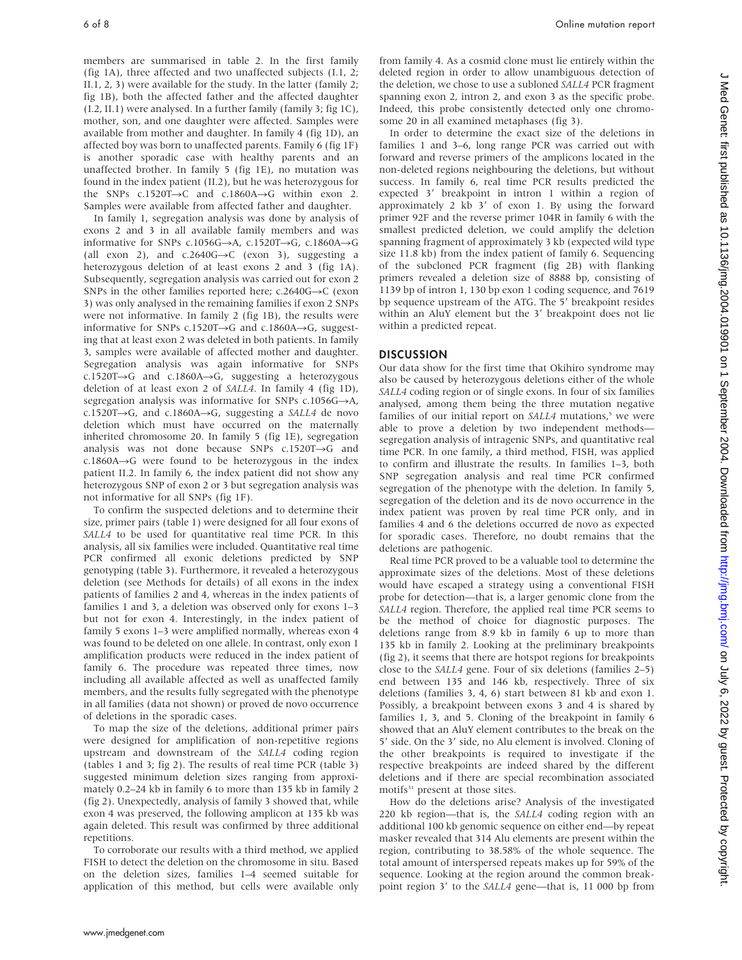members are summarised in table 2. In the first family (fig 1A), three affected and two unaffected subjects (I.1, 2; II.1, 2, 3) were available for the study. In the latter (family 2; fig 1B), both the affected father and the affected daughter (I.2, II.1) were analysed. In a further family (family 3; fig 1C), mother, son, and one daughter were affected. Samples were available from mother and daughter. In family 4 (fig 1D), an affected boy was born to unaffected parents. Family 6 (fig 1F) is another sporadic case with healthy parents and an unaffected brother. In family 5 (fig 1E), no mutation was found in the index patient (II.2), but he was heterozygous for the SNPs  $c.1520T\rightarrow C$  and  $c.1860A\rightarrow G$  within exon 2. Samples were available from affected father and daughter.

In family 1, segregation analysis was done by analysis of exons 2 and 3 in all available family members and was informative for SNPs c.1056G $\rightarrow$ A, c.1520T $\rightarrow$ G, c.1860A $\rightarrow$ G (all exon 2), and  $c.2640G \rightarrow C$  (exon 3), suggesting a heterozygous deletion of at least exons 2 and 3 (fig 1A). Subsequently, segregation analysis was carried out for exon 2 SNPs in the other families reported here; c.2640G $\rightarrow$ C (exon 3) was only analysed in the remaining families if exon 2 SNPs were not informative. In family 2 (fig 1B), the results were informative for SNPs c.1520T $\rightarrow$ G and c.1860A $\rightarrow$ G, suggesting that at least exon 2 was deleted in both patients. In family 3, samples were available of affected mother and daughter. Segregation analysis was again informative for SNPs c.1520T $\rightarrow$ G and c.1860A $\rightarrow$ G, suggesting a heterozygous deletion of at least exon 2 of SALL4. In family 4 (fig 1D), segregation analysis was informative for SNPs c.1056G $\rightarrow$ A, c.1520T $\rightarrow$ G, and c.1860A $\rightarrow$ G, suggesting a SALL4 de novo deletion which must have occurred on the maternally inherited chromosome 20. In family 5 (fig 1E), segregation analysis was not done because SNPs  $c.1520T\rightarrow G$  and  $c.1860A \rightarrow G$  were found to be heterozygous in the index patient II.2. In family 6, the index patient did not show any heterozygous SNP of exon 2 or 3 but segregation analysis was not informative for all SNPs (fig 1F).

To confirm the suspected deletions and to determine their size, primer pairs (table 1) were designed for all four exons of SALL4 to be used for quantitative real time PCR. In this analysis, all six families were included. Quantitative real time PCR confirmed all exonic deletions predicted by SNP genotyping (table 3). Furthermore, it revealed a heterozygous deletion (see Methods for details) of all exons in the index patients of families 2 and 4, whereas in the index patients of families 1 and 3, a deletion was observed only for exons 1–3 but not for exon 4. Interestingly, in the index patient of family 5 exons 1–3 were amplified normally, whereas exon 4 was found to be deleted on one allele. In contrast, only exon 1 amplification products were reduced in the index patient of family 6. The procedure was repeated three times, now including all available affected as well as unaffected family members, and the results fully segregated with the phenotype in all families (data not shown) or proved de novo occurrence of deletions in the sporadic cases.

To map the size of the deletions, additional primer pairs were designed for amplification of non-repetitive regions upstream and downstream of the SALL4 coding region (tables 1 and 3; fig 2). The results of real time PCR (table 3) suggested minimum deletion sizes ranging from approximately 0.2–24 kb in family 6 to more than 135 kb in family 2 (fig 2). Unexpectedly, analysis of family 3 showed that, while exon 4 was preserved, the following amplicon at 135 kb was again deleted. This result was confirmed by three additional repetitions.

To corroborate our results with a third method, we applied FISH to detect the deletion on the chromosome in situ. Based on the deletion sizes, families 1–4 seemed suitable for application of this method, but cells were available only from family 4. As a cosmid clone must lie entirely within the deleted region in order to allow unambiguous detection of the deletion, we chose to use a subloned SALL4 PCR fragment spanning exon 2, intron 2, and exon 3 as the specific probe. Indeed, this probe consistently detected only one chromosome 20 in all examined metaphases (fig 3).

In order to determine the exact size of the deletions in families 1 and 3–6, long range PCR was carried out with forward and reverse primers of the amplicons located in the non-deleted regions neighbouring the deletions, but without success. In family 6, real time PCR results predicted the expected 3' breakpoint in intron 1 within a region of approximately 2 kb  $3'$  of exon 1. By using the forward primer 92F and the reverse primer 104R in family 6 with the smallest predicted deletion, we could amplify the deletion spanning fragment of approximately 3 kb (expected wild type size 11.8 kb) from the index patient of family 6. Sequencing of the subcloned PCR fragment (fig 2B) with flanking primers revealed a deletion size of 8888 bp, consisting of 1139 bp of intron 1, 130 bp exon 1 coding sequence, and 7619 bp sequence upstream of the ATG. The 5' breakpoint resides within an AluY element but the 3' breakpoint does not lie within a predicted repeat.

### DISCUSSION

Our data show for the first time that Okihiro syndrome may also be caused by heterozygous deletions either of the whole SALL4 coding region or of single exons. In four of six families analysed, among them being the three mutation negative families of our initial report on SALL4 mutations,<sup>5</sup> we were able to prove a deletion by two independent methods segregation analysis of intragenic SNPs, and quantitative real time PCR. In one family, a third method, FISH, was applied to confirm and illustrate the results. In families 1–3, both SNP segregation analysis and real time PCR confirmed segregation of the phenotype with the deletion. In family 5, segregation of the deletion and its de novo occurrence in the index patient was proven by real time PCR only, and in families 4 and 6 the deletions occurred de novo as expected for sporadic cases. Therefore, no doubt remains that the deletions are pathogenic.

Real time PCR proved to be a valuable tool to determine the approximate sizes of the deletions. Most of these deletions would have escaped a strategy using a conventional FISH probe for detection—that is, a larger genomic clone from the SALL4 region. Therefore, the applied real time PCR seems to be the method of choice for diagnostic purposes. The deletions range from 8.9 kb in family 6 up to more than 135 kb in family 2. Looking at the preliminary breakpoints (fig 2), it seems that there are hotspot regions for breakpoints close to the SALL4 gene. Four of six deletions (families 2–5) end between 135 and 146 kb, respectively. Three of six deletions (families 3, 4, 6) start between 81 kb and exon 1. Possibly, a breakpoint between exons 3 and 4 is shared by families 1, 3, and 5. Cloning of the breakpoint in family 6 showed that an AluY element contributes to the break on the 5' side. On the 3' side, no Alu element is involved. Cloning of the other breakpoints is required to investigate if the respective breakpoints are indeed shared by the different deletions and if there are special recombination associated motifs<sup>31</sup> present at those sites.

How do the deletions arise? Analysis of the investigated 220 kb region—that is, the SALL4 coding region with an additional 100 kb genomic sequence on either end—by repeat masker revealed that 314 Alu elements are present within the region, contributing to 38.58% of the whole sequence. The total amount of interspersed repeats makes up for 59% of the sequence. Looking at the region around the common breakpoint region 3' to the SALL4 gene—that is, 11 000 bp from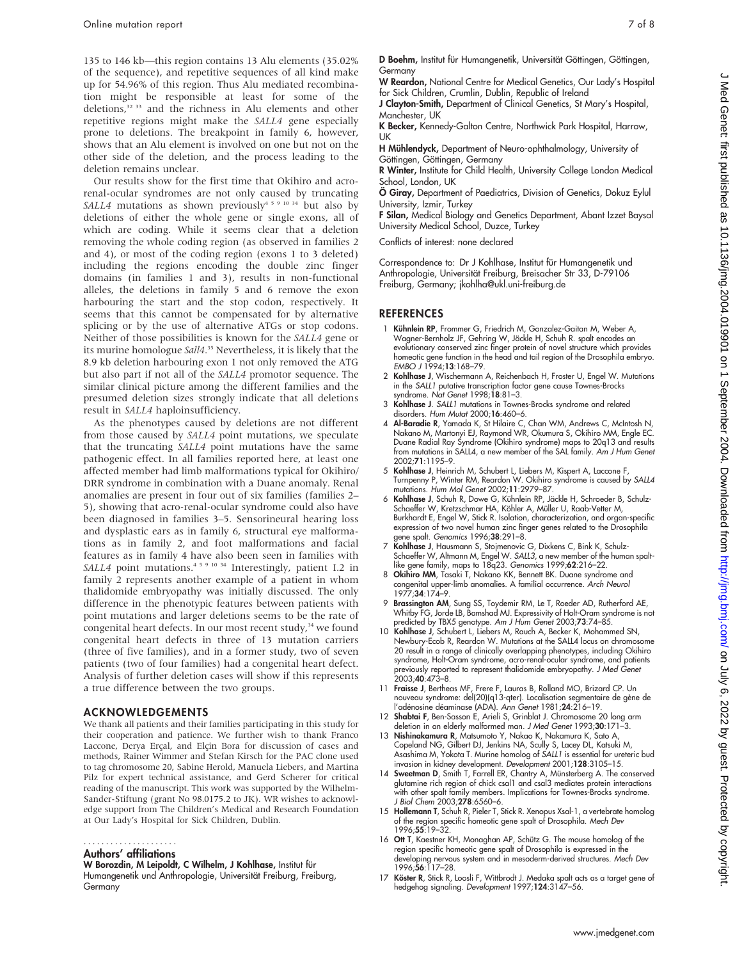135 to 146 kb—this region contains 13 Alu elements (35.02% of the sequence), and repetitive sequences of all kind make up for 54.96% of this region. Thus Alu mediated recombination might be responsible at least for some of the deletions,32 33 and the richness in Alu elements and other repetitive regions might make the SALL4 gene especially prone to deletions. The breakpoint in family 6, however, shows that an Alu element is involved on one but not on the other side of the deletion, and the process leading to the deletion remains unclear.

Our results show for the first time that Okihiro and acrorenal-ocular syndromes are not only caused by truncating SALL4 mutations as shown previously<sup>4 5 9 10 34</sup> but also by deletions of either the whole gene or single exons, all of which are coding. While it seems clear that a deletion removing the whole coding region (as observed in families 2 and 4), or most of the coding region (exons 1 to 3 deleted) including the regions encoding the double zinc finger domains (in families 1 and 3), results in non-functional alleles, the deletions in family 5 and 6 remove the exon harbouring the start and the stop codon, respectively. It seems that this cannot be compensated for by alternative splicing or by the use of alternative ATGs or stop codons. Neither of those possibilities is known for the SALL4 gene or its murine homologue Sall4.<sup>35</sup> Nevertheless, it is likely that the 8.9 kb deletion harbouring exon 1 not only removed the ATG but also part if not all of the SALL4 promotor sequence. The similar clinical picture among the different families and the presumed deletion sizes strongly indicate that all deletions result in SALL4 haploinsufficiency.

As the phenotypes caused by deletions are not different from those caused by SALL4 point mutations, we speculate that the truncating SALL4 point mutations have the same pathogenic effect. In all families reported here, at least one affected member had limb malformations typical for Okihiro/ DRR syndrome in combination with a Duane anomaly. Renal anomalies are present in four out of six families (families 2– 5), showing that acro-renal-ocular syndrome could also have been diagnosed in families 3–5. Sensorineural hearing loss and dysplastic ears as in family 6, structural eye malformations as in family 2, and foot malformations and facial features as in family 4 have also been seen in families with SALL4 point mutations.<sup>459 1034</sup> Interestingly, patient I.2 in family 2 represents another example of a patient in whom thalidomide embryopathy was initially discussed. The only difference in the phenotypic features between patients with point mutations and larger deletions seems to be the rate of congenital heart defects. In our most recent study,<sup>34</sup> we found congenital heart defects in three of 13 mutation carriers (three of five families), and in a former study, two of seven patients (two of four families) had a congenital heart defect. Analysis of further deletion cases will show if this represents a true difference between the two groups.

#### ACKNOWLEDGEMENTS

We thank all patients and their families participating in this study for their cooperation and patience. We further wish to thank Franco Laccone, Derya Erçal, and Elçin Bora for discussion of cases and methods, Rainer Wimmer and Stefan Kirsch for the PAC clone used to tag chromosome 20, Sabine Herold, Manuela Liebers, and Martina Pilz for expert technical assistance, and Gerd Scherer for critical reading of the manuscript. This work was supported by the Wilhelm-Sander-Stiftung (grant No 98.0175.2 to JK). WR wishes to acknowledge support from The Children's Medical and Research Foundation at Our Lady's Hospital for Sick Children, Dublin.

#### Authors' affiliations .....................

W Borozdin, M Leipoldt, C Wilhelm, J Kohlhase, Institut für

Humangenetik und Anthropologie, Universität Freiburg, Freiburg, Germany

D Boehm, Institut für Humangenetik, Universität Göttingen, Göttingen, Germany

W Reardon, National Centre for Medical Genetics, Our Lady's Hospital for Sick Children, Crumlin, Dublin, Republic of Ireland

J Clayton-Smith, Department of Clinical Genetics, St Mary's Hospital, Manchester, UK

K Becker, Kennedy-Galton Centre, Northwick Park Hospital, Harrow, UK

H Mühlendyck, Department of Neuro-ophthalmology, University of Göttingen, Göttingen, Germany

R Winter, Institute for Child Health, University College London Medical School, London, UK

 $Ö$  Giray, Department of Paediatrics, Division of Genetics, Dokuz Eylul University, Izmir, Turkey

F Silan, Medical Biology and Genetics Department, Abant Izzet Baysal University Medical School, Duzce, Turkey

Conflicts of interest: none declared

Correspondence to: Dr J Kohlhase, Institut für Humangenetik und Anthropologie, Universität Freiburg, Breisacher Str 33, D-79106 Freiburg, Germany; jkohlha@ukl.uni-freiburg.de

### **REFERENCES**

- 1 Kühnlein RP, Frommer G, Friedrich M, Gonzalez-Gaitan M, Weber A, Wagner-Bernholz JF, Gehring W, Jäckle H, Schuh R. spalt encodes an evolutionary conserved zinc finger protein of novel structure which provides homeotic gene function in the head and tail region of the Drosophila embryo. EMBO J 1994;13:168–79.
- 2 Kohlhase J, Wischermann A, Reichenbach H, Froster U, Engel W. Mutations in the SALL1 putative transcription factor gene cause Townes-Brocks syndrome. Nat Genet 1998;18:81–3.
- 3 Kohlhase J. SALL1 mutations in Townes-Brocks syndrome and related
- disorders. *Hum Mutat* 2000;**16**:460–6.<br>4 **Al-Baradie R**, Yamada K, St Hilaire C, Chan WM, Andrews C, McIntosh N, Nakano M, Martonyi EJ, Raymond WR, Okumura S, Okihiro MM, Engle EC. Duane Radial Ray Syndrome (Okihiro syndrome) maps to 20q13 and results from mutations in SALL4, a new member of the SAL family. Am J Hum Genet 2002;71:1195–9.
- 5 Kohlhase J, Heinrich M, Schubert L, Liebers M, Kispert A, Laccone F, Turnpenny P, Winter RM, Reardon W. Okihiro syndrome is caused by SALL4 mutations. Hum Mol Genet 2002;11:2979–87.
- 6 Kohlhase J, Schuh R, Dowe G, Kühnlein RP, Jäckle H, Schroeder B, Schulz-Schaeffer W, Kretzschmar HA, Köhler A, Müller U, Raab-Vetter M, Burkhardt E, Engel W, Stick R. Isolation, characterization, and organ-specific expression of two novel human zinc finger genes related to the Drosophila e spalt. *Genomics* 1996;38:291–8.
- 7 Kohlhase J, Hausmann S, Stojmenovic G, Dixkens C, Bink K, Schulz-Schaeffer W, Altmann M, Engel W. SALL3, a new member of the human spaltlike gene family, maps to 18q23. Genomics 1999;62:216–22.
- 8 Okihiro MM, Tasaki T, Nakano KK, Bennett BK. Duane syndrome and congenital upper-limb anomalies. A tamilial occurrence. *Arch Neurol*<br>1977;**34**:174–9.
- 9 Brassington AM, Sung SS, Toydemir RM, Le T, Roeder AD, Rutherford AE, Whitby FG, Jorde LB, Bamshad MJ. Expressivity of Holt-Oram syndrome is not
- predicted by TBX5 genotype. Am J Hum Genet 2003;73:74–85. 10 Kohlhase J, Schubert L, Liebers M, Rauch A, Becker K, Mohammed SN, Newbury-Ecob R, Reardon W. Mutations at the SALL4 locus on chromosome 20 result in a range of clinically overlapping phenotypes, including Okihiro syndrome, Holt-Oram syndrome, acro-renal-ocular syndrome, and patients previously reported to represent thalidomide embryopathy. J Med Genet  $2003;40:473-8.$
- 11 Fraisse J, Bertheas MF, Frere F, Lauras B, Rolland MO, Brizard CP. Un nouveau syndrome: del(20)(q13-qter). Localisation segmentaire de gène de l'adénosine déaminase (ADA). Ann Genet 1981;24:216-19.
- 12 Shabtai F, Ben-Sasson E, Arieli S, Grinblat J. Chromosome 20 long arm deletion in an elderly malformed man. J Med Genet 1993;30:171–3.
- 13 **Nishinakamura R**, Matsumoto Y, Nakao K, Nakamura K, Sato A Copeland NG, Gilbert DJ, Jenkins NA, Scully S, Lacey DL, Katsuki M, Asashima M, Yokota T. Murine homolog of SALL1 is essential for ureteric bud invasion in kidney development. Development 2001;128:3105-15.
- 14 Sweetman D, Smith T, Farrell ER, Chantry A, Münsterberg A. The conserved glutamine rich region of chick csal1 and csal3 mediates protein interactions with other spalt family members. Implications for Townes-Brocks syndrome. J Biol Chem 2003;278:6560–6.
- 15 Hollemann T, Schuh R, Pieler T, Stick R. Xenopus Xsal-1, a vertebrate homolog of the region specific homeotic gene spalt of Drosophila. Mech Dev 1996;55:19–32.
- 16 Ott T, Kaestner KH, Monaghan AP, Schütz G. The mouse homolog of the region specific homeotic gene spalt of Drosophila is expressed in the developing nervous system and in mesoderm-derived structures. *Mech Dev*<br>1996;**56**:117–28.
- 17 Köster R, Stick R, Loosli F, Wittbrodt J. Medaka spalt acts as a target gene of<br>hedgehog signaling. Development 1997;124:3147–56.